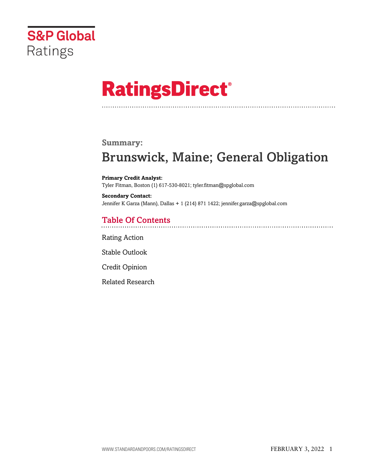

# **RatingsDirect®**

### **Summary:**

# Brunswick, Maine; General Obligation

**Primary Credit Analyst:** Tyler Fitman, Boston (1) 617-530-8021; tyler.fitman@spglobal.com

**Secondary Contact:** Jennifer K Garza (Mann), Dallas + 1 (214) 871 1422; jennifer.garza@spglobal.com

# Table Of Contents

[Rating Action](#page-1-0)

[Stable Outlook](#page-2-0)

[Credit Opinion](#page-2-1)

[Related Research](#page-5-0)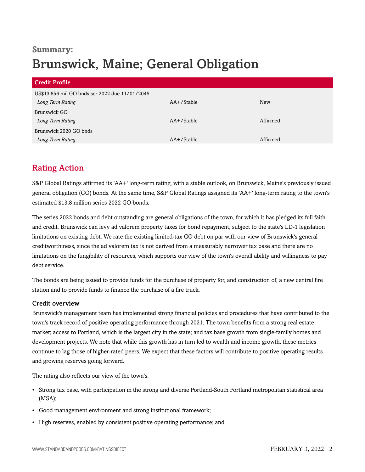# **Summary:** Brunswick, Maine; General Obligation

| <b>Credit Profile</b>                          |               |            |
|------------------------------------------------|---------------|------------|
| US\$13.856 mil GO bnds ser 2022 due 11/01/2046 |               |            |
| Long Term Rating                               | $AA+$ /Stable | <b>New</b> |
| Brunswick GO                                   |               |            |
| Long Term Rating                               | AA+/Stable    | Affirmed   |
| Brunswick 2020 GO bnds                         |               |            |
| Long Term Rating                               | AA+/Stable    | Affirmed   |

# <span id="page-1-0"></span>Rating Action

S&P Global Ratings affirmed its 'AA+' long-term rating, with a stable outlook, on Brunswick, Maine's previously issued general obligation (GO) bonds. At the same time, S&P Global Ratings assigned its 'AA+' long-term rating to the town's estimated \$13.8 million series 2022 GO bonds.

The series 2022 bonds and debt outstanding are general obligations of the town, for which it has pledged its full faith and credit. Brunswick can levy ad valorem property taxes for bond repayment, subject to the state's LD-1 legislation limitations on existing debt. We rate the existing limited-tax GO debt on par with our view of Brunswick's general creditworthiness, since the ad valorem tax is not derived from a measurably narrower tax base and there are no limitations on the fungibility of resources, which supports our view of the town's overall ability and willingness to pay debt service.

The bonds are being issued to provide funds for the purchase of property for, and construction of, a new central fire station and to provide funds to finance the purchase of a fire truck.

#### Credit overview

Brunswick's management team has implemented strong financial policies and procedures that have contributed to the town's track record of positive operating performance through 2021. The town benefits from a strong real estate market; access to Portland, which is the largest city in the state; and tax base growth from single-family homes and development projects. We note that while this growth has in turn led to wealth and income growth, these metrics continue to lag those of higher-rated peers. We expect that these factors will contribute to positive operating results and growing reserves going forward.

The rating also reflects our view of the town's:

- Strong tax base, with participation in the strong and diverse Portland-South Portland metropolitan statistical area (MSA);
- Good management environment and strong institutional framework;
- High reserves, enabled by consistent positive operating performance; and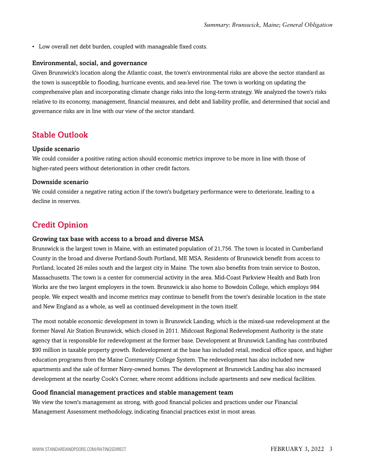• Low overall net debt burden, coupled with manageable fixed costs.

#### Environmental, social, and governance

Given Brunswick's location along the Atlantic coast, the town's environmental risks are above the sector standard as the town is susceptible to flooding, hurricane events, and sea-level rise. The town is working on updating the comprehensive plan and incorporating climate change risks into the long-term strategy. We analyzed the town's risks relative to its economy, management, financial measures, and debt and liability profile, and determined that social and governance risks are in line with our view of the sector standard.

## <span id="page-2-0"></span>Stable Outlook

#### Upside scenario

We could consider a positive rating action should economic metrics improve to be more in line with those of higher-rated peers without deterioration in other credit factors.

#### Downside scenario

We could consider a negative rating action if the town's budgetary performance were to deteriorate, leading to a decline in reserves.

## <span id="page-2-1"></span>Credit Opinion

#### Growing tax base with access to a broad and diverse MSA

Brunswick is the largest town in Maine, with an estimated population of 21,756. The town is located in Cumberland County in the broad and diverse Portland-South Portland, ME MSA. Residents of Brunswick benefit from access to Portland, located 26 miles south and the largest city in Maine. The town also benefits from train service to Boston, Massachusetts. The town is a center for commercial activity in the area. Mid-Coast Parkview Health and Bath Iron Works are the two largest employers in the town. Brunswick is also home to Bowdoin College, which employs 984 people. We expect wealth and income metrics may continue to benefit from the town's desirable location in the state and New England as a whole, as well as continued development in the town itself.

The most notable economic development in town is Brunswick Landing, which is the mixed-use redevelopment at the former Naval Air Station Brunswick, which closed in 2011. Midcoast Regional Redevelopment Authority is the state agency that is responsible for redevelopment at the former base. Development at Brunswick Landing has contributed \$90 million in taxable property growth. Redevelopment at the base has included retail, medical office space, and higher education programs from the Maine Community College System. The redevelopment has also included new apartments and the sale of former Navy-owned homes. The development at Brunswick Landing has also increased development at the nearby Cook's Corner, where recent additions include apartments and new medical facilities.

#### Good financial management practices and stable management team

We view the town's management as strong, with good financial policies and practices under our Financial Management Assessment methodology, indicating financial practices exist in most areas.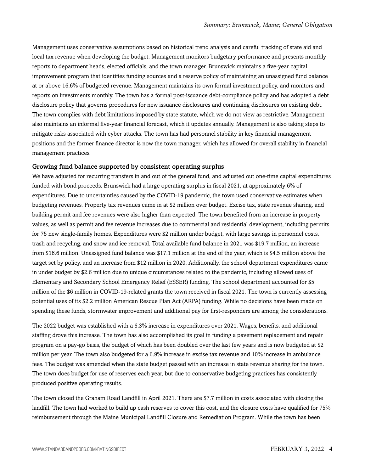Management uses conservative assumptions based on historical trend analysis and careful tracking of state aid and local tax revenue when developing the budget. Management monitors budgetary performance and presents monthly reports to department heads, elected officials, and the town manager. Brunswick maintains a five-year capital improvement program that identifies funding sources and a reserve policy of maintaining an unassigned fund balance at or above 16.6% of budgeted revenue. Management maintains its own formal investment policy, and monitors and reports on investments monthly. The town has a formal post-issuance debt-compliance policy and has adopted a debt disclosure policy that governs procedures for new issuance disclosures and continuing disclosures on existing debt. The town complies with debt limitations imposed by state statute, which we do not view as restrictive. Management also maintains an informal five-year financial forecast, which it updates annually. Management is also taking steps to mitigate risks associated with cyber attacks. The town has had personnel stability in key financial management positions and the former finance director is now the town manager, which has allowed for overall stability in financial management practices.

#### Growing fund balance supported by consistent operating surplus

We have adjusted for recurring transfers in and out of the general fund, and adjusted out one-time capital expenditures funded with bond proceeds. Brunswick had a large operating surplus in fiscal 2021, at approximately 6% of expenditures. Due to uncertainties caused by the COVID-19 pandemic, the town used conservative estimates when budgeting revenues. Property tax revenues came in at \$2 million over budget. Excise tax, state revenue sharing, and building permit and fee revenues were also higher than expected. The town benefited from an increase in property values, as well as permit and fee revenue increases due to commercial and residential development, including permits for 75 new single-family homes. Expenditures were \$2 million under budget, with large savings in personnel costs, trash and recycling, and snow and ice removal. Total available fund balance in 2021 was \$19.7 million, an increase from \$16.6 million. Unassigned fund balance was \$17.1 million at the end of the year, which is \$4.5 million above the target set by policy, and an increase from \$12 million in 2020. Additionally, the school department expenditures came in under budget by \$2.6 million due to unique circumstances related to the pandemic, including allowed uses of Elementary and Secondary School Emergency Relief (ESSER) funding. The school department accounted for \$5 million of the \$6 million in COVID-19-related grants the town received in fiscal 2021. The town is currently assessing potential uses of its \$2.2 million American Rescue Plan Act (ARPA) funding. While no decisions have been made on spending these funds, stormwater improvement and additional pay for first-responders are among the considerations.

The 2022 budget was established with a 6.3% increase in expenditures over 2021. Wages, benefits, and additional staffing drove this increase. The town has also accomplished its goal in funding a pavement replacement and repair program on a pay-go basis, the budget of which has been doubled over the last few years and is now budgeted at \$2 million per year. The town also budgeted for a 6.9% increase in excise tax revenue and 10% increase in ambulance fees. The budget was amended when the state budget passed with an increase in state revenue sharing for the town. The town does budget for use of reserves each year, but due to conservative budgeting practices has consistently produced positive operating results.

The town closed the Graham Road Landfill in April 2021. There are \$7.7 million in costs associated with closing the landfill. The town had worked to build up cash reserves to cover this cost, and the closure costs have qualified for 75% reimbursement through the Maine Municipal Landfill Closure and Remediation Program. While the town has been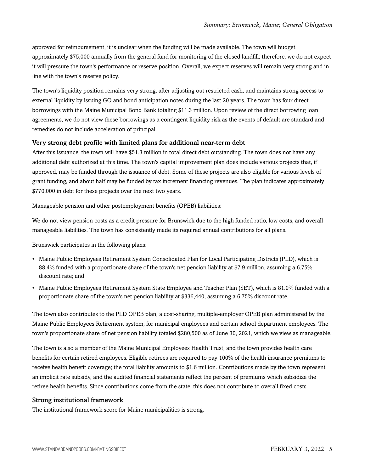approved for reimbursement, it is unclear when the funding will be made available. The town will budget approximately \$75,000 annually from the general fund for monitoring of the closed landfill; therefore, we do not expect it will pressure the town's performance or reserve position. Overall, we expect reserves will remain very strong and in line with the town's reserve policy.

The town's liquidity position remains very strong, after adjusting out restricted cash, and maintains strong access to external liquidity by issuing GO and bond anticipation notes during the last 20 years. The town has four direct borrowings with the Maine Municipal Bond Bank totaling \$11.3 million. Upon review of the direct borrowing loan agreements, we do not view these borrowings as a contingent liquidity risk as the events of default are standard and remedies do not include acceleration of principal.

#### Very strong debt profile with limited plans for additional near-term debt

After this issuance, the town will have \$51.3 million in total direct debt outstanding. The town does not have any additional debt authorized at this time. The town's capital improvement plan does include various projects that, if approved, may be funded through the issuance of debt. Some of these projects are also eligible for various levels of grant funding, and about half may be funded by tax increment financing revenues. The plan indicates approximately \$770,000 in debt for these projects over the next two years.

Manageable pension and other postemployment benefits (OPEB) liabilities:

We do not view pension costs as a credit pressure for Brunswick due to the high funded ratio, low costs, and overall manageable liabilities. The town has consistently made its required annual contributions for all plans.

Brunswick participates in the following plans:

- Maine Public Employees Retirement System Consolidated Plan for Local Participating Districts (PLD), which is 88.4% funded with a proportionate share of the town's net pension liability at \$7.9 million, assuming a 6.75% discount rate; and
- Maine Public Employees Retirement System State Employee and Teacher Plan (SET), which is 81.0% funded with a proportionate share of the town's net pension liability at \$336,440, assuming a 6.75% discount rate.

The town also contributes to the PLD OPEB plan, a cost-sharing, multiple-employer OPEB plan administered by the Maine Public Employees Retirement system, for municipal employees and certain school department employees. The town's proportionate share of net pension liability totaled \$280,500 as of June 30, 2021, which we view as manageable.

The town is also a member of the Maine Municipal Employees Health Trust, and the town provides health care benefits for certain retired employees. Eligible retirees are required to pay 100% of the health insurance premiums to receive health benefit coverage; the total liability amounts to \$1.6 million. Contributions made by the town represent an implicit rate subsidy, and the audited financial statements reflect the percent of premiums which subsidize the retiree health benefits. Since contributions come from the state, this does not contribute to overall fixed costs.

#### Strong institutional framework

The institutional framework score for Maine municipalities is strong.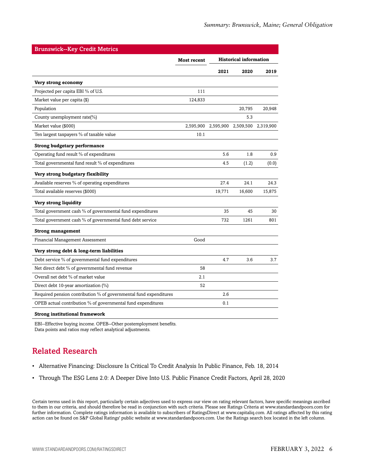| <b>Brunswick--Key Credit Metrics</b>                              |                    |                               |           |           |
|-------------------------------------------------------------------|--------------------|-------------------------------|-----------|-----------|
|                                                                   | <b>Most recent</b> | <b>Historical information</b> |           |           |
|                                                                   |                    | 2021                          | 2020      | 2019      |
| Very strong economy                                               |                    |                               |           |           |
| Projected per capita EBI % of U.S.                                | 111                |                               |           |           |
| Market value per capita (\$)                                      | 124,833            |                               |           |           |
| Population                                                        |                    |                               | 20,795    | 20,948    |
| County unemployment rate(%)                                       |                    |                               | 5.3       |           |
| Market value (\$000)                                              | 2,595,900          | 2,595,900                     | 2,509,500 | 2,319,900 |
| Ten largest taxpayers % of taxable value                          | 10.1               |                               |           |           |
| <b>Strong budgetary performance</b>                               |                    |                               |           |           |
| Operating fund result % of expenditures                           |                    | 5.6                           | 1.8       | 0.9       |
| Total governmental fund result % of expenditures                  |                    | 4.5                           | (1.2)     | (0.0)     |
| Very strong budgetary flexibility                                 |                    |                               |           |           |
| Available reserves % of operating expenditures                    |                    | 27.4                          | 24.1      | 24.3      |
| Total available reserves (\$000)                                  |                    | 19,771                        | 16,600    | 15,875    |
| Very strong liquidity                                             |                    |                               |           |           |
| Total government cash % of governmental fund expenditures         |                    | 35                            | 45        | 30        |
| Total government cash % of governmental fund debt service         |                    | 732                           | 1261      | 801       |
| <b>Strong management</b>                                          |                    |                               |           |           |
| Financial Management Assessment                                   | Good               |                               |           |           |
| Very strong debt & long-term liabilities                          |                    |                               |           |           |
| Debt service % of governmental fund expenditures                  |                    | 4.7                           | 3.6       | 3.7       |
| Net direct debt % of governmental fund revenue                    | 58                 |                               |           |           |
| Overall net debt % of market value                                | 2.1                |                               |           |           |
| Direct debt 10-year amortization (%)                              | 52                 |                               |           |           |
| Required pension contribution % of governmental fund expenditures |                    | 2.6                           |           |           |
| OPEB actual contribution % of governmental fund expenditures      |                    | 0.1                           |           |           |
| <b>Strong institutional framework</b>                             |                    |                               |           |           |

EBI--Effective buying income. OPEB--Other postemployment benefits. Data points and ratios may reflect analytical adjustments.

# <span id="page-5-0"></span>Related Research

- Alternative Financing: Disclosure Is Critical To Credit Analysis In Public Finance, Feb. 18, 2014
- Through The ESG Lens 2.0: A Deeper Dive Into U.S. Public Finance Credit Factors, April 28, 2020

Certain terms used in this report, particularly certain adjectives used to express our view on rating relevant factors, have specific meanings ascribed to them in our criteria, and should therefore be read in conjunction with such criteria. Please see Ratings Criteria at www.standardandpoors.com for further information. Complete ratings information is available to subscribers of RatingsDirect at www.capitaliq.com. All ratings affected by this rating action can be found on S&P Global Ratings' public website at www.standardandpoors.com. Use the Ratings search box located in the left column.